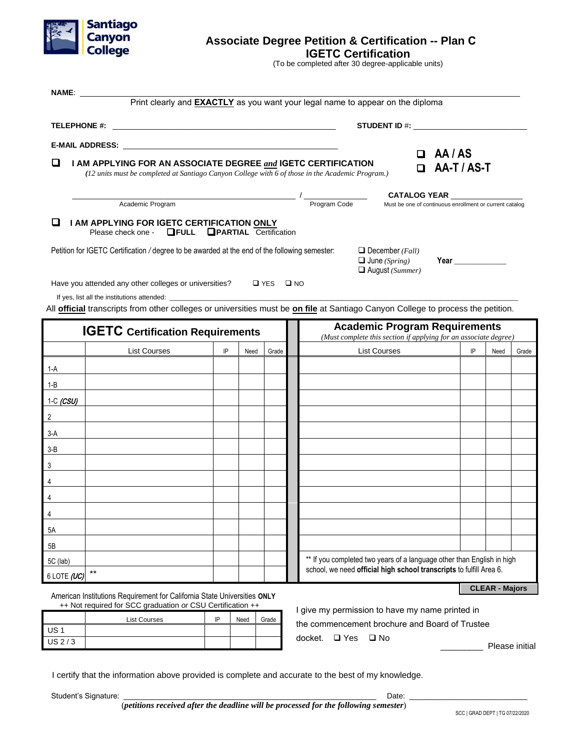

## **Associate Degree Petition & Certification -- Plan C IGETC Certification**

(To be completed after 30 degree-applicable units)

| <b>NAME:</b>   | Print clearly and <b>EXACTLY</b> as you want your legal name to appear on the diploma                                                                                                                                          |    |      |                                    |              |                                                                                                          |  |                                                         |    |      |       |
|----------------|--------------------------------------------------------------------------------------------------------------------------------------------------------------------------------------------------------------------------------|----|------|------------------------------------|--------------|----------------------------------------------------------------------------------------------------------|--|---------------------------------------------------------|----|------|-------|
|                |                                                                                                                                                                                                                                |    |      |                                    |              |                                                                                                          |  |                                                         |    |      |       |
|                | E-MAIL ADDRESS: North and the state of the state of the state of the state of the state of the state of the state of the state of the state of the state of the state of the state of the state of the state of the state of t |    |      |                                    |              |                                                                                                          |  |                                                         |    |      |       |
| □              | I AM APPLYING FOR AN ASSOCIATE DEGREE and IGETC CERTIFICATION<br>(12 units must be completed at Santiago Canyon College with 6 of those in the Academic Program.)                                                              |    |      | $\Box$ AA/AS<br>$\Box$ AA-T / AS-T |              |                                                                                                          |  |                                                         |    |      |       |
|                |                                                                                                                                                                                                                                |    |      |                                    |              |                                                                                                          |  | <b>CATALOG YEAR</b>                                     |    |      |       |
|                | Academic Program                                                                                                                                                                                                               |    |      |                                    | Program Code |                                                                                                          |  | Must be one of continuous enrollment or current catalog |    |      |       |
| □              | I AM APPLYING FOR IGETC CERTIFICATION ONLY<br>Please check one <b>□FULL</b> □PARTIAL Certification                                                                                                                             |    |      |                                    |              |                                                                                                          |  |                                                         |    |      |       |
|                | Petition for IGETC Certification / degree to be awarded at the end of the following semester:                                                                                                                                  |    |      |                                    |              | $\Box$ December ( <i>Fall</i> )<br>$\Box$ June (Spring)<br>$\Box$ August (Summer)                        |  | Year                                                    |    |      |       |
|                | Have you attended any other colleges or universities?                                                                                                                                                                          |    |      | $\Box$ YES $\Box$ NO               |              |                                                                                                          |  |                                                         |    |      |       |
|                |                                                                                                                                                                                                                                |    |      |                                    |              |                                                                                                          |  |                                                         |    |      |       |
|                | All <b>official</b> transcripts from other colleges or universities must be on file at Santiago Canyon College to process the petition.                                                                                        |    |      |                                    |              |                                                                                                          |  |                                                         |    |      |       |
|                | <b>IGETC</b> Certification Requirements                                                                                                                                                                                        |    |      |                                    |              | <b>Academic Program Requirements</b><br>(Must complete this section if applying for an associate degree) |  |                                                         |    |      |       |
|                | <b>List Courses</b>                                                                                                                                                                                                            | IP | Need | Grade                              |              | <b>List Courses</b>                                                                                      |  |                                                         | IP | Need | Grade |
| 1-A            |                                                                                                                                                                                                                                |    |      |                                    |              |                                                                                                          |  |                                                         |    |      |       |
| $1 - B$        |                                                                                                                                                                                                                                |    |      |                                    |              |                                                                                                          |  |                                                         |    |      |       |
| 1-C $(CSU)$    |                                                                                                                                                                                                                                |    |      |                                    |              |                                                                                                          |  |                                                         |    |      |       |
| $\overline{2}$ |                                                                                                                                                                                                                                |    |      |                                    |              |                                                                                                          |  |                                                         |    |      |       |
| $3-A$          |                                                                                                                                                                                                                                |    |      |                                    |              |                                                                                                          |  |                                                         |    |      |       |
| $3-B$          |                                                                                                                                                                                                                                |    |      |                                    |              |                                                                                                          |  |                                                         |    |      |       |
| $\sqrt{3}$     |                                                                                                                                                                                                                                |    |      |                                    |              |                                                                                                          |  |                                                         |    |      |       |
| 4              |                                                                                                                                                                                                                                |    |      |                                    |              |                                                                                                          |  |                                                         |    |      |       |
| 4              |                                                                                                                                                                                                                                |    |      |                                    |              |                                                                                                          |  |                                                         |    |      |       |
| 4              |                                                                                                                                                                                                                                |    |      |                                    |              |                                                                                                          |  |                                                         |    |      |       |
| 5A             |                                                                                                                                                                                                                                |    |      |                                    |              |                                                                                                          |  |                                                         |    |      |       |
|                |                                                                                                                                                                                                                                |    |      |                                    |              |                                                                                                          |  |                                                         |    |      |       |

\*\* If you completed two years of a language other than English in high school, we need **official high school transcripts** to fulfill Area 6.

American Institutions Requirement for California State Universities **ONLY** ++ Not required for SCC graduation *or* CSU Certification ++

|                 | <b>List Courses</b> | IP | Need | Grade |  |  |  |  |  |
|-----------------|---------------------|----|------|-------|--|--|--|--|--|
| US <sub>1</sub> |                     |    |      |       |  |  |  |  |  |
| US 2/3          |                     |    |      |       |  |  |  |  |  |

I give my permission to have my name printed in the commencement brochure and Board of Trustee docket. □ Yes □ No

Please initial

**CLEAR - Majors**

I certify that the information above provided is complete and accurate to the best of my knowledge.

Student's Signature: \_\_\_\_\_\_\_\_\_\_\_\_\_\_\_\_\_\_\_\_\_\_\_\_\_\_\_\_\_\_\_\_\_\_\_\_\_\_\_\_\_\_\_\_\_\_\_\_\_\_\_\_\_\_\_\_\_\_\_\_ Date: \_\_\_\_\_\_\_\_\_\_\_\_\_\_\_\_\_\_\_\_\_\_\_\_\_\_\_\_

\*\*

5B 5C (lab) 6 LOTE  $(UC)$